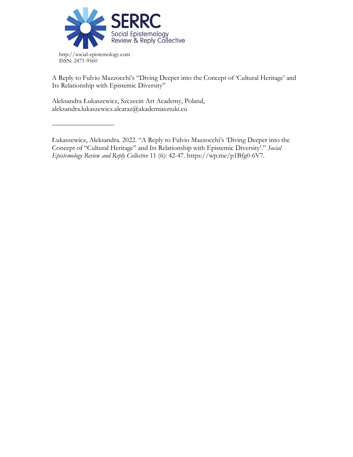

http://social-epistemology.com ISSN: 2471-9560

––––––––––––––––––

A Reply to Fulvio Mazzocchi's "Diving Deeper into the Concept of 'Cultural Heritage' and Its Relationship with Epistemic Diversity"

Aleksandra Łukaszewicz, Szczecin Art Academy, Poland, aleksandra.lukaszewicz.alcaraz@akademiasztuki.eu

Łukaszewicz, Aleksandra. 2022. "A Reply to Fulvio Mazzocchi's 'Diving Deeper into the Concept of "Cultural Heritage" and Its Relationship with Epistemic Diversity'." *Social Epistemology Review and Reply Collective* 11 (6): 42-47. https://wp.me/p1Bfg0-6V7.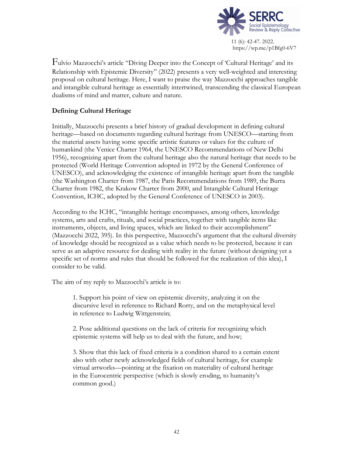

Fulvio Mazzocchi's article "Diving Deeper into the Concept of 'Cultural Heritage' and its Relationship with Epistemic Diversity" (2022) presents a very well-weighted and interesting proposal on cultural heritage. Here, I want to praise the way Mazzocchi approaches tangible and intangible cultural heritage as essentially intertwined, transcending the classical European dualisms of mind and matter, culture and nature.

# **Defining Cultural Heritage**

Initially, Mazzocchi presents a brief history of gradual development in defining cultural heritage—based on documents regarding cultural heritage from UNESCO—starting from the material assets having some specific artistic features or values for the culture of humankind (the Venice Charter 1964, the UNESCO Recommendations of New Delhi 1956), recognizing apart from the cultural heritage also the natural heritage that needs to be protected (World Heritage Convention adopted in 1972 by the General Conference of UNESCO), and acknowledging the existence of intangible heritage apart from the tangible (the Washington Charter from 1987, the Paris Recommendations from 1989, the Burra Charter from 1982, the Krakow Charter from 2000, and Intangible Cultural Heritage Convention, ICHC, adopted by the General Conference of UNESCO in 2003).

According to the ICHC, "intangible heritage encompasses, among others, knowledge systems, arts and crafts, rituals, and social practices, together with tangible items like instruments, objects, and living spaces, which are linked to their accomplishment" (Mazzocchi 2022, 395). In this perspective, Mazzocchi's argument that the cultural diversity of knowledge should be recognized as a value which needs to be protected, because it can serve as an adaptive resource for dealing with reality in the future (without designing yet a specific set of norms and rules that should be followed for the realization of this idea), I consider to be valid.

The aim of my reply to Mazzocchi's article is to:

1. Support his point of view on epistemic diversity, analyzing it on the discursive level in reference to Richard Rorty, and on the metaphysical level in reference to Ludwig Wittgenstein;

2. Pose additional questions on the lack of criteria for recognizing which epistemic systems will help us to deal with the future, and how;

3. Show that this lack of fixed criteria is a condition shared to a certain extent also with other newly acknowledged fields of cultural heritage, for example virtual artworks—pointing at the fixation on materiality of cultural heritage in the Eurocentric perspective (which is slowly eroding, to humanity's common good.)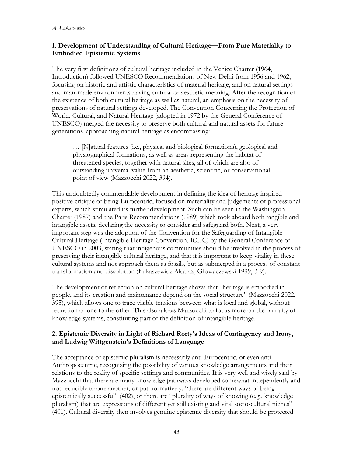### **1. Development of Understanding of Cultural Heritage—From Pure Materiality to Embodied Epistemic Systems**

The very first definitions of cultural heritage included in the Venice Charter (1964, Introduction) followed UNESCO Recommendations of New Delhi from 1956 and 1962, focusing on historic and artistic characteristics of material heritage, and on natural settings and man-made environments having cultural or aesthetic meaning. After the recognition of the existence of both cultural heritage as well as natural, an emphasis on the necessity of preservations of natural settings developed. The Convention Concerning the Protection of World, Cultural, and Natural Heritage (adopted in 1972 by the General Conference of UNESCO) merged the necessity to preserve both cultural and natural assets for future generations, approaching natural heritage as encompassing:

… [N]atural features (i.e., physical and biological formations), geological and physiographical formations, as well as areas representing the habitat of threatened species, together with natural sites, all of which are also of outstanding universal value from an aesthetic, scientific, or conservational point of view (Mazzocchi 2022, 394).

This undoubtedly commendable development in defining the idea of heritage inspired positive critique of being Eurocentric, focused on materiality and judgements of professional experts, which stimulated its further development. Such can be seen in the Washington Charter (1987) and the Paris Recommendations (1989) which took aboard both tangible and intangible assets, declaring the necessity to consider and safeguard both. Next, a very important step was the adoption of the Convention for the Safeguarding of Intangible Cultural Heritage (Intangible Heritage Convention, ICHC) by the General Conference of UNESCO in 2003, stating that indigenous communities should be involved in the process of preserving their intangible cultural heritage, and that it is important to keep vitality in these cultural systems and not approach them as fossils, but as submerged in a process of constant transformation and dissolution (Łukaszewicz Alcaraz; Głowaczewski 1999, 3-9).

The development of reflection on cultural heritage shows that "heritage is embodied in people, and its creation and maintenance depend on the social structure" (Mazzocchi 2022, 395), which allows one to trace visible tensions between what is local and global, without reduction of one to the other. This also allows Mazzocchi to focus more on the plurality of knowledge systems, constituting part of the definition of intangible heritage.

### **2. Epistemic Diversity in Light of Richard Rorty's Ideas of Contingency and Irony, and Ludwig Wittgenstein's Definitions of Language**

The acceptance of epistemic pluralism is necessarily anti-Eurocentric, or even anti-Anthropocentric, recognizing the possibility of various knowledge arrangements and their relations to the reality of specific settings and communities. It is very well and wisely said by Mazzocchi that there are many knowledge pathways developed somewhat independently and not reducible to one another, or put normatively: "there are different ways of being epistemically successful" (402), or there are "plurality of ways of knowing (e.g., knowledge pluralism) that are expressions of different yet still existing and vital socio-cultural niches" (401). Cultural diversity then involves genuine epistemic diversity that should be protected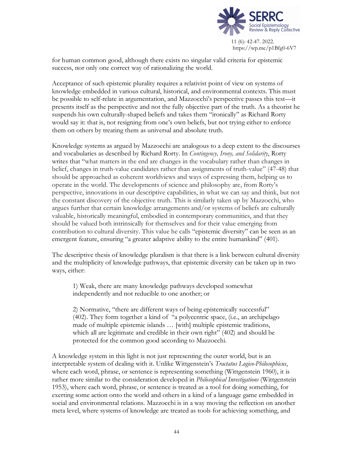

for human common good, although there exists no singular valid criteria for epistemic success, nor only one correct way of rationalizing the world.

Acceptance of such epistemic plurality requires a relativist point of view on systems of knowledge embedded in various cultural, historical, and environmental contexts. This must be possible to self-relate in argumentation, and Mazzocchi's perspective passes this test—it presents itself as the perspective and not the fully objective part of the truth. As a theorist he suspends his own culturally-shaped beliefs and takes them "ironically" as Richard Rorty would say it: that is, not resigning from one's own beliefs, but not trying either to enforce them on others by treating them as universal and absolute truth.

Knowledge systems as argued by Mazzocchi are analogous to a deep extent to the discourses and vocabularies as described by Richard Rorty. In *Contingency, Irony, and Solidarity*, Rorty writes that "what matters in the end are changes in the vocabulary rather than changes in belief, changes in truth-value candidates rather than assignments of truth-value" (47-48) that should be approached as coherent worldviews and ways of expressing them, helping us to operate in the world. The developments of science and philosophy are, from Rorty's perspective, innovations in our descriptive capabilities, in what we can say and think, but not the constant discovery of the objective truth. This is similarly taken up by Mazzocchi, who argues further that certain knowledge arrangements and/or systems of beliefs are culturally valuable, historically meaningful, embodied in contemporary communities, and that they should be valued both intrinsically for themselves and for their value emerging from contribution to cultural diversity. This value he calls "epistemic diversity" can be seen as an emergent feature, ensuring "a greater adaptive ability to the entire humankind" (401).

The descriptive thesis of knowledge pluralism is that there is a link between cultural diversity and the multiplicity of knowledge pathways, that epistemic diversity can be taken up in two ways, either:

1) Weak, there are many knowledge pathways developed somewhat independently and not reducible to one another; or

2) Normative, "there are different ways of being epistemically successful" (402). They form together a kind of "a polycentric space, (i.e., an archipelago made of multiple epistemic islands … [with] multiple epistemic traditions, which all are legitimate and credible in their own right" (402) and should be protected for the common good according to Mazzocchi.

A knowledge system in this light is not just representing the outer world, but is an interpretable system of dealing with it. Unlike Wittgenstein's *Tractatus Logico-Philosophicus*, where each word, phrase, or sentence is representing something (Wittgenstein 1960), it is rather more similar to the consideration developed in *Philosophical Investigations* (Wittgenstein 1953), where each word, phrase, or sentence is treated as a tool for doing something, for exerting some action onto the world and others in a kind of a language game embedded in social and environmental relations. Mazzocchi is in a way moving the reflection on another meta level, where systems of knowledge are treated as tools for achieving something, and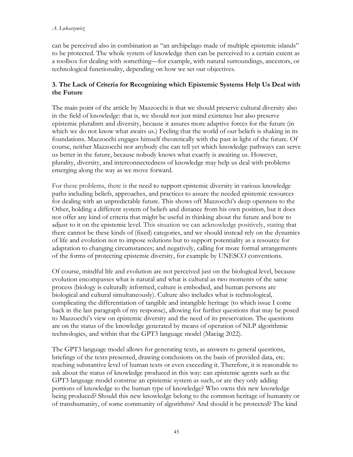#### *A. Łukaszewicz*

can be perceived also in combination as "an archipelago made of multiple epistemic islands" to be protected. The whole system of knowledge then can be perceived to a certain extent as a toolbox for dealing with something—for example, with natural surroundings, ancestors, or technological functionality, depending on how we set our objectives.

## **3. The Lack of Criteria for Recognizing which Epistemic Systems Help Us Deal with the Future**

The main point of the article by Mazzocchi is that we should preserve cultural diversity also in the field of knowledge: that is, we should not just mind existence but also preserve epistemic pluralism and diversity, because it assures more adaptive forces for the future (in which we do not know what awaits us.) Feeling that the world of our beliefs is shaking in its foundations. Mazzocchi engages himself theoretically with the past in light of the future. Of course, neither Mazzocchi nor anybody else can tell yet which knowledge pathways can serve us better in the future, because nobody knows what exactly is awaiting us. However, plurality, diversity, and interconnectedness of knowledge may help us deal with problems emerging along the way as we move forward.

For these problems, there is the need to support epistemic diversity in various knowledge paths including beliefs, approaches, and practices to assure the needed epistemic resources for dealing with an unpredictable future. This shows off Mazzocchi's deep openness to the Other, holding a different system of beliefs and distance from his own position, but it does not offer any kind of criteria that might be useful in thinking about the future and how to adjust to it on the epistemic level. This situation we can acknowledge positively, stating that there cannot be these kinds of (fixed) categories, and we should instead rely on the dynamics of life and evolution not to impose solutions but to support potentiality as a resource for adaptation to changing circumstances; and negatively, calling for more formal arrangements of the forms of protecting epistemic diversity, for example by UNESCO conventions.

Of course, mindful life and evolution are not perceived just on the biological level, because evolution encompasses what is natural and what is cultural as two moments of the same process (biology is culturally informed, culture is embodied, and human persons are biological and cultural simultaneously). Culture also includes what is technological, complicating the differentiation of tangible and intangible heritage (to which issue I come back in the last paragraph of my response), allowing for further questions that may be posed to Mazzocchi's view on epistemic diversity and the need of its preservation. The questions are on the status of the knowledge generated by means of operation of NLP algorithmic technologies, and within that the GPT3 language model (Maciąg 2022).

The GPT3 language model allows for generating texts, as answers to general questions, briefings of the texts presented, drawing conclusions on the basis of provided data, etc. reaching substantive level of human texts or even exceeding it. Therefore, it is reasonable to ask about the status of knowledge produced in this way: can epistemic agents such as the GPT3 language model construe an epistemic system as such, or are they only adding portions of knowledge to the human type of knowledge? Who owns this new knowledge being produced? Should this new knowledge belong to the common heritage of humanity or of transhumanity, of some community of algorithms? And should it be protected? The kind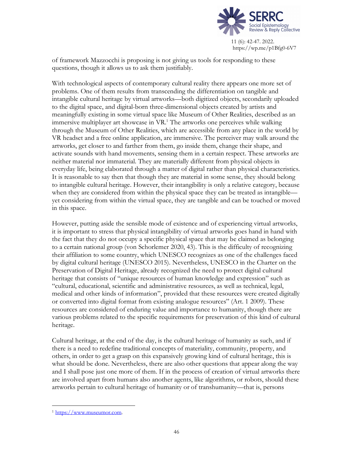

of framework Mazzocchi is proposing is not giving us tools for responding to these questions, though it allows us to ask them justifiably.

With technological aspects of contemporary cultural reality there appears one more set of problems. One of them results from transcending the differentiation on tangible and intangible cultural heritage by virtual artworks—both digitized objects, secondarily uploaded to the digital space, and digital-born three-dimensional objects created by artists and meaningfully existing in some virtual space like Museum of Other Realities, described as an immersive multiplayer art showcase in VR. <sup>1</sup> The artworks one perceives while walking through the Museum of Other Realities, which are accessible from any place in the world by VR headset and a free online application, are immersive. The perceiver may walk around the artworks, get closer to and farther from them, go inside them, change their shape, and activate sounds with hand movements, sensing them in a certain respect. These artworks are neither material nor immaterial. They are materially different from physical objects in everyday life, being elaborated through a matter of digital rather than physical characteristics. It is reasonable to say then that though they are material in some sense, they should belong to intangible cultural heritage. However, their intangibility is only a relative category, because when they are considered from within the physical space they can be treated as intangible yet considering from within the virtual space, they are tangible and can be touched or moved in this space.

However, putting aside the sensible mode of existence and of experiencing virtual artworks, it is important to stress that physical intangibility of virtual artworks goes hand in hand with the fact that they do not occupy a specific physical space that may be claimed as belonging to a certain national group (von Schorlemer 2020, 43). This is the difficulty of recognizing their affiliation to some country, which UNESCO recognizes as one of the challenges faced by digital cultural heritage (UNESCO 2015). Nevertheless, UNESCO in the Charter on the Preservation of Digital Heritage, already recognized the need to protect digital cultural heritage that consists of "unique resources of human knowledge and expression" such as "cultural, educational, scientific and administrative resources, as well as technical, legal, medical and other kinds of information", provided that these resources were created digitally or converted into digital format from existing analogue resources" (Art. 1 2009). These resources are considered of enduring value and importance to humanity, though there are various problems related to the specific requirements for preservation of this kind of cultural heritage.

Cultural heritage, at the end of the day, is the cultural heritage of humanity as such, and if there is a need to redefine traditional concepts of materiality, community, property, and others, in order to get a grasp on this expansively growing kind of cultural heritage, this is what should be done. Nevertheless, there are also other questions that appear along the way and I shall pose just one more of them. If in the process of creation of virtual artworks there are involved apart from humans also another agents, like algorithms, or robots, should these artworks pertain to cultural heritage of humanity or of transhumanity—that is, persons

 <sup>1</sup> https://www.museumor.com.